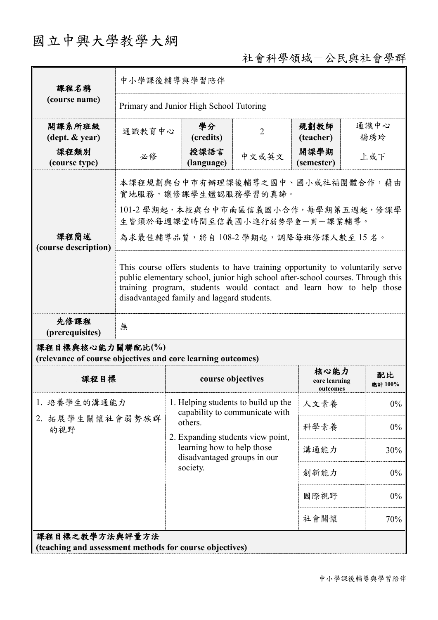## 國立中興大學教學大綱

## 社會科學領域-公民與社會學群

| 課程名稱                                                                            | 中小學課後輔導與學習陪伴                                                                                                                                                                                                                                                                           |                                                                       |                |                                   |               |  |
|---------------------------------------------------------------------------------|----------------------------------------------------------------------------------------------------------------------------------------------------------------------------------------------------------------------------------------------------------------------------------------|-----------------------------------------------------------------------|----------------|-----------------------------------|---------------|--|
| (course name)                                                                   | Primary and Junior High School Tutoring                                                                                                                                                                                                                                                |                                                                       |                |                                   |               |  |
| 開課系所班級<br>$(\text{dept.} \& \text{ year})$                                      | 通識教育中心                                                                                                                                                                                                                                                                                 | 學分<br>(credits)                                                       | $\overline{2}$ | 規劃教師<br>(teacher)                 | 通識中心<br>楊琇玲   |  |
| 課程類別<br>(course type)                                                           | 必修                                                                                                                                                                                                                                                                                     | 授課語言<br>(language)                                                    | 中文或英文          | 開課學期<br>(semester)                | 上或下           |  |
| 課程簡述<br>(course description)                                                    | 本課程規劃與台中市有辦理課後輔導之國中、國小或社福團體合作,藉由<br>實地服務,讓修課學生體認服務學習的真諦。                                                                                                                                                                                                                               |                                                                       |                |                                   |               |  |
|                                                                                 | 101-2 學期起,本校與台中市南區信義國小合作,每學期第五週起,修課學<br>生皆須於每週課堂時間至信義國小進行弱勢學童一對一課業輔導。                                                                                                                                                                                                                  |                                                                       |                |                                   |               |  |
|                                                                                 | 為求最佳輔導品質,將自108-2學期起,調降每班修課人數至15名。                                                                                                                                                                                                                                                      |                                                                       |                |                                   |               |  |
|                                                                                 | This course offers students to have training opportunity to voluntarily serve<br>public elementary school, junior high school after-school courses. Through this<br>training program, students would contact and learn how to help those<br>disadvantaged family and laggard students. |                                                                       |                |                                   |               |  |
| 先修課程<br>(prerequisites)                                                         | 無                                                                                                                                                                                                                                                                                      |                                                                       |                |                                   |               |  |
| 課程目標與核心能力關聯配比(%)<br>(relevance of course objectives and core learning outcomes) |                                                                                                                                                                                                                                                                                        |                                                                       |                |                                   |               |  |
| 課程目標                                                                            |                                                                                                                                                                                                                                                                                        | course objectives                                                     |                | 核心能力<br>core learning<br>outcomes | 配比<br>總計 100% |  |
| 1. 培養學生的溝通能力                                                                    |                                                                                                                                                                                                                                                                                        | 1. Helping students to build up the<br>capability to communicate with |                | 人文素養                              | $0\%$         |  |
| 2. 拓展學生關懷社會弱勢族群<br>的視野                                                          |                                                                                                                                                                                                                                                                                        | others.<br>2. Expanding students view point,                          |                | 科學素養                              | $0\%$         |  |
|                                                                                 |                                                                                                                                                                                                                                                                                        | learning how to help those<br>disadvantaged groups in our<br>society. |                | 溝通能力                              | 30%           |  |
|                                                                                 |                                                                                                                                                                                                                                                                                        |                                                                       |                | 創新能力                              | $0\%$         |  |
|                                                                                 |                                                                                                                                                                                                                                                                                        |                                                                       |                | 國際視野                              | $0\%$         |  |
|                                                                                 |                                                                                                                                                                                                                                                                                        |                                                                       |                | 社會關懷                              | 70%           |  |
| 課程目標之教學方法與評量方法<br>(teaching and assessment methods for course objectives)       |                                                                                                                                                                                                                                                                                        |                                                                       |                |                                   |               |  |